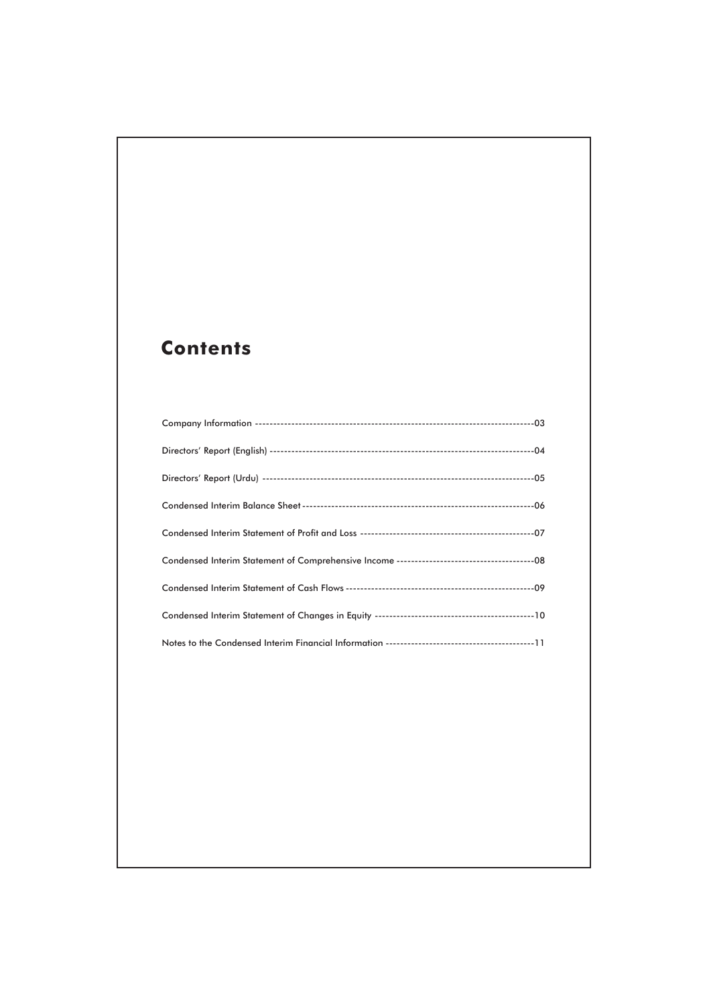# **Contents**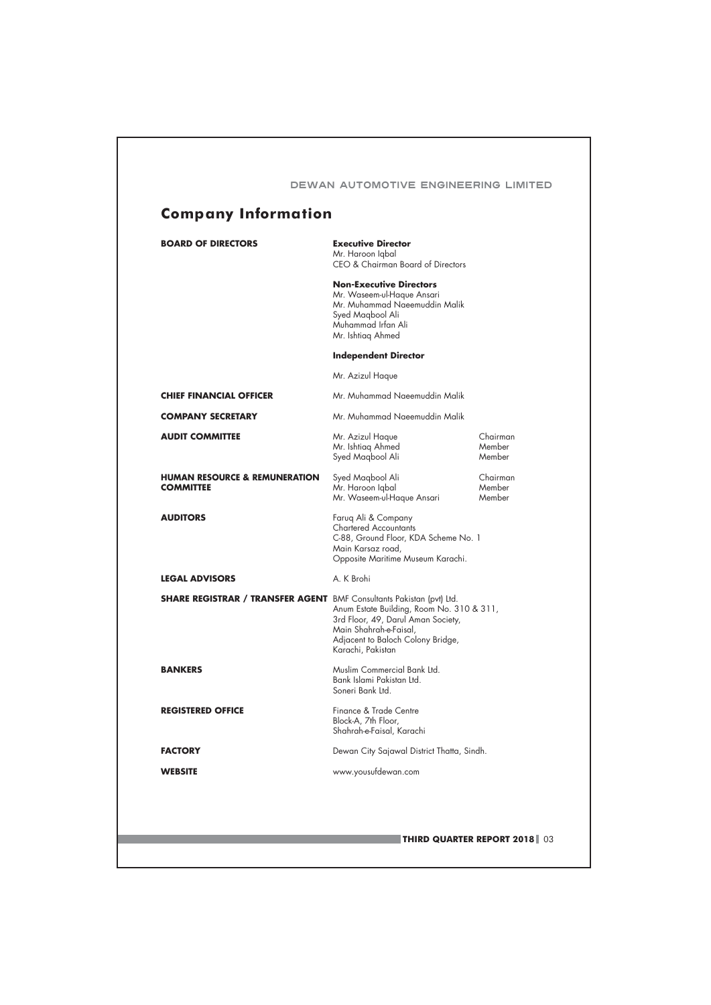| <b>BOARD OF DIRECTORS</b>                                                   | <b>Executive Director</b><br>Mr. Haroon Iqbal<br>CEO & Chairman Board of Directors                                                                                  |                              |
|-----------------------------------------------------------------------------|---------------------------------------------------------------------------------------------------------------------------------------------------------------------|------------------------------|
|                                                                             | <b>Non-Executive Directors</b><br>Mr. Waseem-ul-Haque Ansari<br>Mr. Muhammad Naeemuddin Malik<br>Syed Magbool Ali<br>Muhammad Irfan Ali<br>Mr. Ishtiag Ahmed        |                              |
|                                                                             | <b>Independent Director</b>                                                                                                                                         |                              |
|                                                                             | Mr. Azizul Haque                                                                                                                                                    |                              |
| <b>CHIEF FINANCIAL OFFICER</b>                                              | Mr. Muhammad Naeemuddin Malik                                                                                                                                       |                              |
| <b>COMPANY SECRETARY</b>                                                    | Mr. Muhammad Naeemuddin Malik                                                                                                                                       |                              |
| <b>AUDIT COMMITTEE</b>                                                      | Mr. Azizul Haque<br>Mr. Ishtiag Ahmed<br>Syed Magbool Ali                                                                                                           | Chairman<br>Member<br>Member |
| <b>HUMAN RESOURCE &amp; REMUNERATION</b><br><b>COMMITTEE</b>                | Syed Magbool Ali<br>Mr. Haroon Iqbal<br>Mr. Waseem-ul-Haque Ansari                                                                                                  | Chairman<br>Member<br>Member |
| <b>AUDITORS</b>                                                             | Faruq Ali & Company<br><b>Chartered Accountants</b><br>C-88, Ground Floor, KDA Scheme No. 1<br>Main Karsaz road,<br>Opposite Maritime Museum Karachi.               |                              |
| <b>LEGAL ADVISORS</b>                                                       | A. K Brohi                                                                                                                                                          |                              |
| <b>SHARE REGISTRAR / TRANSFER AGENT</b> BMF Consultants Pakistan (pvt) Ltd. | Anum Estate Building, Room No. 310 & 311,<br>3rd Floor, 49, Darul Aman Society,<br>Main Shahrah-e-Faisal,<br>Adjacent to Baloch Colony Bridge,<br>Karachi, Pakistan |                              |
| <b>BANKERS</b>                                                              | Muslim Commercial Bank Ltd.<br>Bank Islami Pakistan Ltd.<br>Soneri Bank Ltd.                                                                                        |                              |
| <b>REGISTERED OFFICE</b>                                                    | Finance & Trade Centre<br>Block-A, 7th Floor,<br>Shahrah-e-Faisal, Karachi                                                                                          |                              |
| <b>FACTORY</b>                                                              | Dewan City Sajawal District Thatta, Sindh.                                                                                                                          |                              |
| <b>WEBSITE</b>                                                              | www.yousufdewan.com                                                                                                                                                 |                              |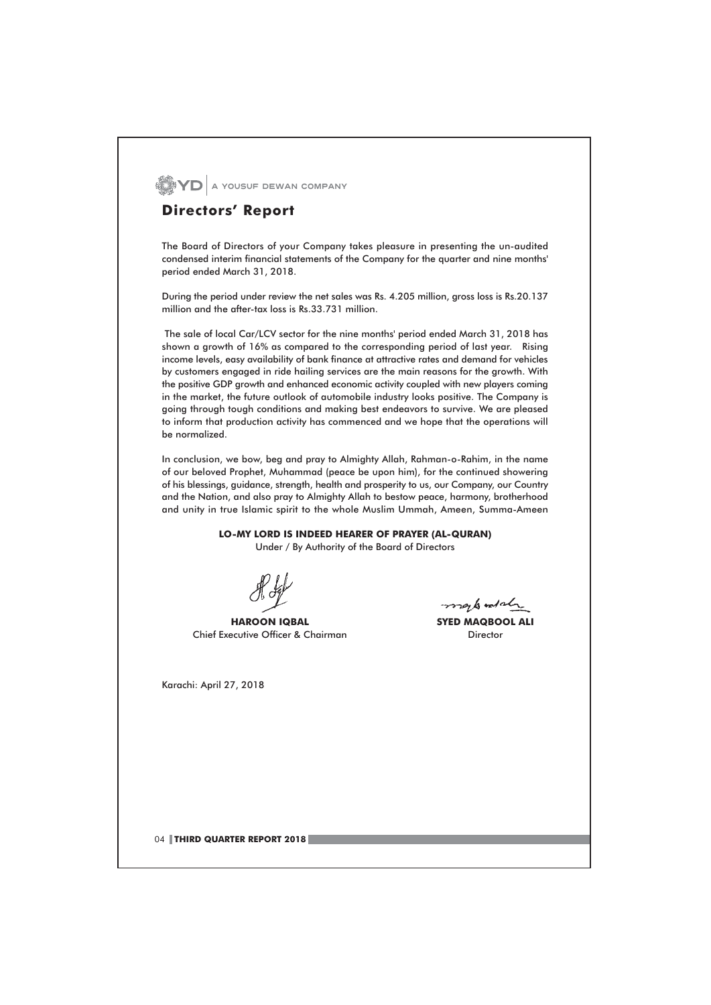**WEYD** A YOUSUF DEWAN COMPANY

# **Directors' Report**

The Board of Directors of your Company takes pleasure in presenting the un-audited condensed interim financial statements of the Company for the quarter and nine months' period ended March 31, 2018.

During the period under review the net sales was Rs. 4.205 million, gross loss is Rs.20.137 million and the after-tax loss is Rs.33.731 million.

The sale of local Car/LCV sector for the nine months' period ended March 31, 2018 has shown a growth of 16% as compared to the corresponding period of last year. Rising income levels, easy availability of bank finance at attractive rates and demand for vehicles by customers engaged in ride hailing services are the main reasons for the growth. With the positive GDP growth and enhanced economic activity coupled with new players coming in the market, the future outlook of automobile industry looks positive. The Company is going through tough conditions and making best endeavors to survive. We are pleased to inform that production activity has commenced and we hope that the operations will be normalized.

In conclusion, we bow, beg and pray to Almighty Allah, Rahman-o-Rahim, in the name of our beloved Prophet, Muhammad (peace be upon him), for the continued showering of his blessings, guidance, strength, health and prosperity to us, our Company, our Country and the Nation, and also pray to Almighty Allah to bestow peace, harmony, brotherhood and unity in true Islamic spirit to the whole Muslim Ummah, Ameen, Summa-Ameen

> LO-MY LORD IS INDEED HEARER OF PRAYER (AL-QURAN) Under / By Authority of the Board of Directors

**HAROON IQBAL** Chief Executive Officer & Chairman

Karachi: April 27, 2018

more to and she

**SYED MAQBOOL ALI** Director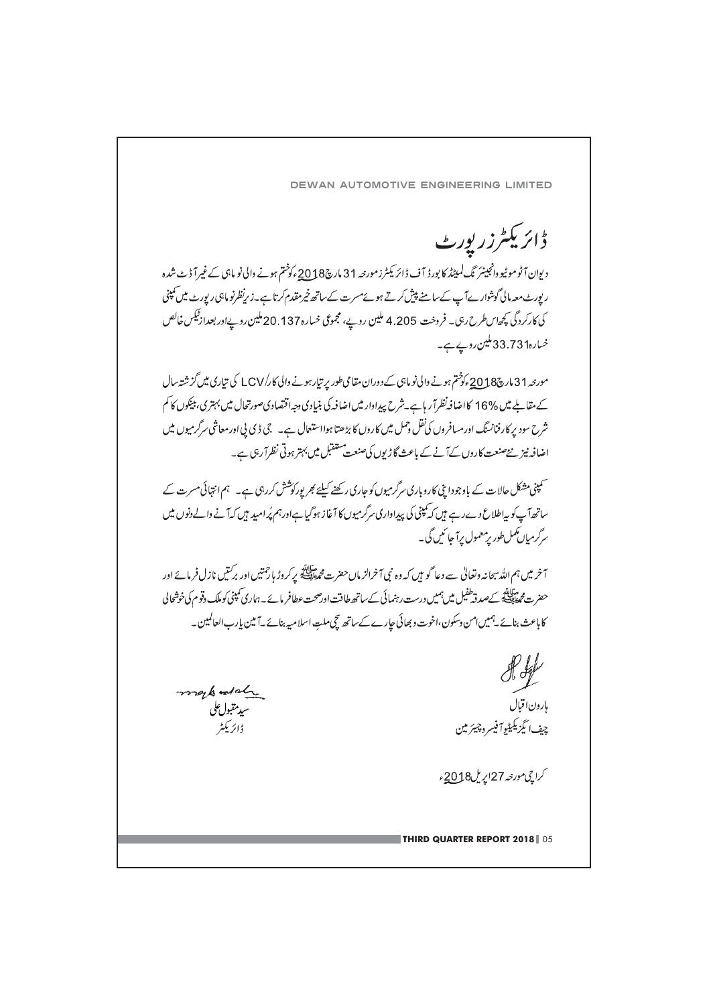DEWAN AUTOMOTIVE ENGINEERING LIMITED

ڈائریکٹرزر بورٹ

دیوان آٹوموٹیووانجینئر نگ لمیٹڈ کا بورڈ آف ڈائریکٹرزمورجہ 31 مارچ2018ءکوختم ہونے والی نو ماہی کے غیرآ ڈٹ شدہ ر بورٹ معہ مالی گوشوار ہےآ ب کےسامنے پیش کرتے ہوئےمسرت کےساتھ خیرمقدم کرتا ہے۔زیرنظرنو ماہی رپورٹ میں تمپنی کی کارکردگی کچھاس طرح رہی۔ فروخت 4.205 ملین روپے، مچموعی خسارہ 137. 20ملین روپےاور پعدازٹیکس خالص خسارہ233.73 ملین روپے ہے۔

مورجہ 31 مارچ2018 ءکو منتم ہونے والی نو ماہی کے دوران مقامی طور پر تبارہونے والی کار/LCV کی تیاری میں گزشتہ سال کے مقاطے میں %16 کااضافہ نظرا ٓر ہاہے۔شرح پیداوار میں اضافہ کی بنیادی وجہ اقتصادی صورتحال میں بہتری بیٹکوں کا کم شرح سود پر کارفنانسنگ اورمسافروں کی فقل وحمل میں کاروں کا بڑھتا ہوااستعال ہے۔ جی ڈی پی اورمعاشی سرگرمیوں میں اضافہ نیز نئےصنعت کاروں کےآنے کے باعث گاڑیوں کی صنعت متنقبل میں پہتر ہوتی نظرا رہی ہے۔

۔<br>سمپنی مشکل حالات کے باوجودا پنی کاروباری سرگرمیوں کو جاری رکھنے کیلئے *بھر پورکوشش کر*رہی ہے۔ ہم انتہائی مسرت کے ساتھ آپ کو پہ اطلاع دےرہے ہیں کہ کمپنی کی پیداواری سرگرمیوں کا آغاز ہوگیا ہےاورہم پُرامید ہیں کہ آنے والے دنوں میں سرگرمیاں کمل طور برمعمول برآ جا ئیں گی۔

ہ خرمیں ہم اللہ سپحانہ ونعالیٰ سے دعا گو ہیں کہ وہ نبی آخرالز ماں حضرت محمط پہلے ورکروڑ ماحمتیں اور برکنیں نازل فرمائے اور ۔<br>حضرت محمدان کے مسرقہ طفیل میں ہمیں درست رہنمائی کےساتھ طاقت اورصحت عطافر مائے۔ہماری کمپنی کوملک وقوم کی خوشحال کاباعث بنائے یہمیں امن وسکون،اخوت و بھائی جارے کےساتھ گچ ملت اسلامیہ بنائے یہ بین بارب العالمین۔

Kep بارون اقبال<br>بارون اقبال چف انگیزیکیٹیوآ فیسروچیئر مین

کراچی مورخہ 27اپریل2018ء

**THIRD QUARTER REPORT 2018** 05

maked also سيدمقول على ڊ <sub>ا</sub>بر مکثر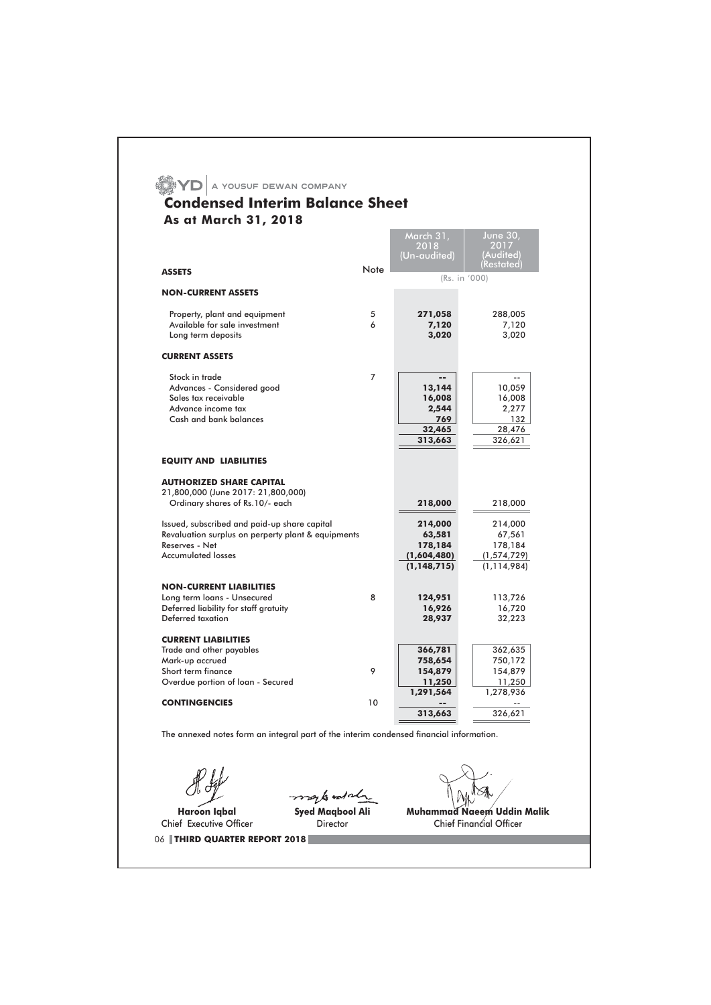|                                                                                                                                                   |        | March 31,<br>2018<br>(Un-audited)                            | <b>June 30,</b><br>2017<br>(Audited)<br>(Restated            |
|---------------------------------------------------------------------------------------------------------------------------------------------------|--------|--------------------------------------------------------------|--------------------------------------------------------------|
| <b>ASSETS</b>                                                                                                                                     | Note   | (Rs. in '000)                                                |                                                              |
| <b>NON-CURRENT ASSETS</b>                                                                                                                         |        |                                                              |                                                              |
| Property, plant and equipment<br>Available for sale investment<br>Long term deposits                                                              | 5<br>6 | 271,058<br>7,120<br>3,020                                    | 288,005<br>7,120<br>3,020                                    |
| <b>CURRENT ASSETS</b>                                                                                                                             |        |                                                              |                                                              |
| Stock in trade<br>Advances - Considered good<br>Sales tax receivable<br>Advance income tax<br>Cash and bank balances                              | 7      | --<br>13,144<br>16,008<br>2,544<br>769<br>32,465<br>313,663  | $-$<br>10,059<br>16,008<br>2,277<br>132<br>28,476<br>326,621 |
| <b>EQUITY AND LIABILITIES</b>                                                                                                                     |        |                                                              |                                                              |
| <b>AUTHORIZED SHARE CAPITAL</b><br>21,800,000 (June 2017: 21,800,000)<br>Ordinary shares of Rs.10/- each                                          |        | 218,000                                                      | 218,000                                                      |
| Issued, subscribed and paid-up share capital<br>Revaluation surplus on perperty plant & equipments<br>Reserves - Net<br><b>Accumulated losses</b> |        | 214,000<br>63,581<br>178,184<br>(1,604,480)<br>(1, 148, 715) | 214,000<br>67,561<br>178,184<br>(1,574,729)<br>(1, 114, 984) |
| <b>NON-CURRENT LIABILITIES</b>                                                                                                                    |        |                                                              |                                                              |
| Long term loans - Unsecured<br>Deferred liability for staff gratuity<br>Deferred taxation                                                         | 8      | 124,951<br>16,926<br>28,937                                  | 113,726<br>16,720<br>32,223                                  |
| <b>CURRENT LIABILITIES</b><br>Trade and other payables<br>Mark-up accrued<br>Short term finance<br>Overdue portion of loan - Secured              | 9      | 366,781<br>758,654<br>154,879<br>11,250                      | 362,635<br>750,172<br>154,879<br>11,250                      |
| <b>CONTINGENCIES</b>                                                                                                                              | 10     | 1,291,564                                                    | 1,278,936                                                    |

Haroon Iqbal Chief Executive Officer

**Syed Magbool Ali** Director

Muhammad Naeem Uddin Malik<br>Chief Financial Officer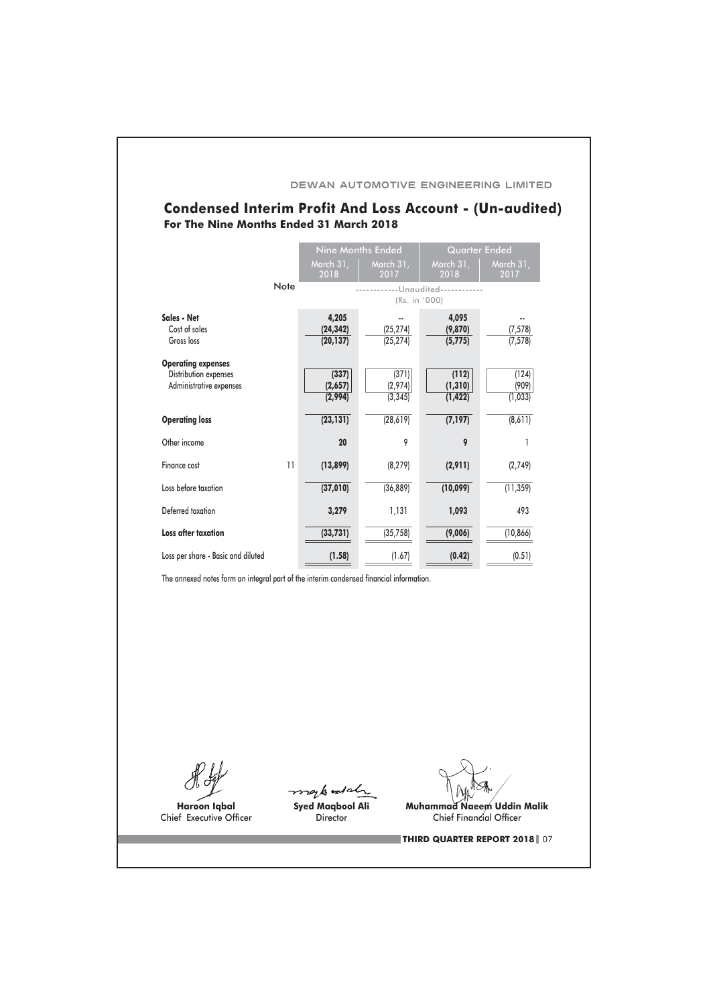## DEWAN AUTOMOTIVE ENGINEERING LIMITED

# **Condensed Interim Profit And Loss Account - (Un-audited)** For The Nine Months Ended 31 March 2018

|                                                                               |                                 | <b>Nine Months Ended</b>     | <b>Quarter Ended</b>          |                           |
|-------------------------------------------------------------------------------|---------------------------------|------------------------------|-------------------------------|---------------------------|
|                                                                               | March 31,<br>2018               | March 31,<br>2017            | March 31,<br>2018             | March 31,<br>2017         |
| Note                                                                          |                                 | (Rs. in '000)                | -Unaudited--                  |                           |
| Sales - Net<br>Cost of sales<br>Gross loss                                    | 4,205<br>(24, 342)<br>(20, 137) | (25, 274)<br>(25, 274)       | 4,095<br>(9,870)<br>(5, 775)  | (7, 578)<br>(7, 578)      |
| <b>Operating expenses</b><br>Distribution expenses<br>Administrative expenses | (337)<br>(2,657)<br>(2,994)     | (371)<br>(2,974)<br>(3, 345) | (112)<br>(1, 310)<br>(1, 422) | (124)<br>(909)<br>(1,033) |
| <b>Operating loss</b>                                                         | (23, 131)                       | (28, 619)                    | (7, 197)                      | (8,611)                   |
| Other income                                                                  | 20                              | 9                            | 9                             | 1                         |
| Finance cost                                                                  | 11<br>(13,899)                  | (8, 279)                     | (2,911)                       | (2,749)                   |
| Loss before taxation                                                          | (37, 010)                       | (36, 889)                    | (10,099)                      | (11, 359)                 |
| Deferred taxation                                                             | 3,279                           | 1,131                        | 1,093                         | 493                       |
| Loss after taxation                                                           | (33, 731)                       | (35, 758)                    | (9,006)                       | (10, 866)                 |
| Loss per share - Basic and diluted                                            | (1.58)                          | (1.67)                       | (0.42)                        | (0.51)                    |

The annexed notes form an integral part of the interim condensed financial information.

Haroon Iqbal Chief Executive Officer

mark and al

Syed Maqbool Ali Director

**Muhammad Naeem Uddin Malik** Chief Financial Officer

THIRD QUARTER REPORT 2018 07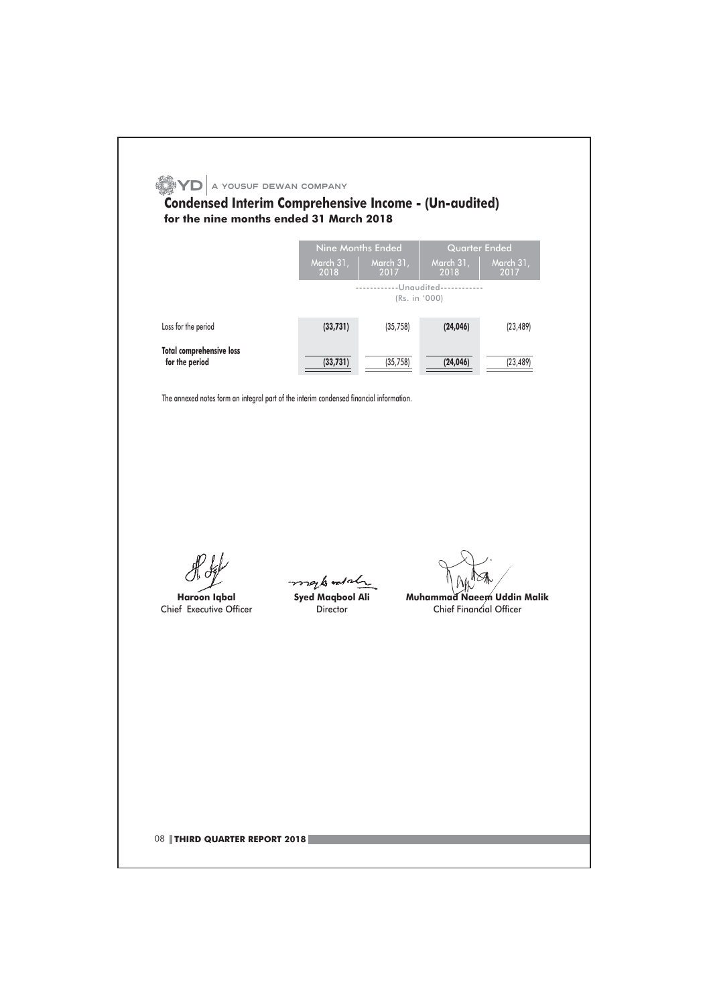|                                                                                         | Nine Months Ended                                         |                                                    | <b>Quarter Ended</b>    |                                   |
|-----------------------------------------------------------------------------------------|-----------------------------------------------------------|----------------------------------------------------|-------------------------|-----------------------------------|
|                                                                                         | March 31,<br>2018                                         | March 31,<br>2017                                  | March 31,<br>2018       | March 31,<br>2017                 |
|                                                                                         |                                                           | ------------Unaudited------------<br>(Rs. in '000) |                         |                                   |
| Loss for the period                                                                     | (33, 731)                                                 | (35, 758)                                          | (24, 046)               | (23, 489)                         |
| <b>Total comprehensive loss</b><br>for the period                                       | (33, 731)                                                 | (35, 758)                                          | (24, 046)               | (23, 489)                         |
| The annexed notes form an integral part of the interim condensed financial information. |                                                           |                                                    |                         |                                   |
| <b>Haroon Iqbal</b><br>Chief Executive Officer                                          | mark and de<br><b>Syed Magbool Ali</b><br><b>Director</b> |                                                    | Chief Financial Officer | <b>Muhammad Naeem Uddin Malik</b> |
|                                                                                         |                                                           |                                                    |                         |                                   |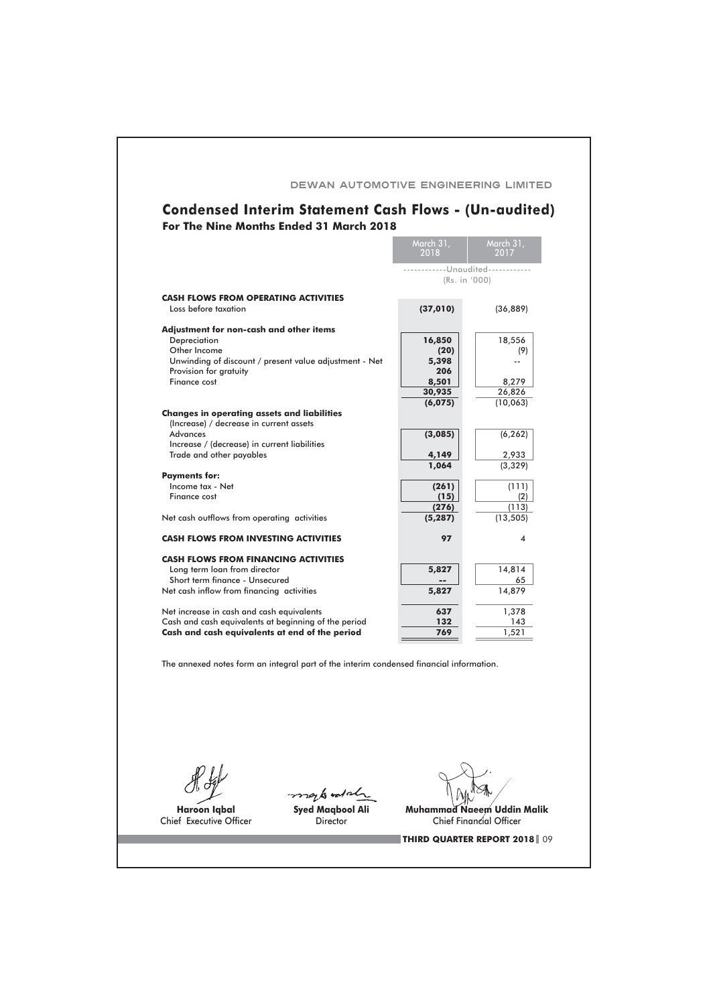|                                                                                         | March 31,<br>2018                                  | March 31,<br>2017 |
|-----------------------------------------------------------------------------------------|----------------------------------------------------|-------------------|
|                                                                                         | ------------Unaudited------------<br>(Rs. in '000) |                   |
| <b>CASH FLOWS FROM OPERATING ACTIVITIES</b>                                             |                                                    |                   |
| Loss before taxation                                                                    | (37, 010)                                          | (36, 889)         |
| Adjustment for non-cash and other items                                                 |                                                    |                   |
| Depreciation<br>Other Income                                                            | 16,850<br>(20)                                     | 18,556<br>(9)     |
| Unwinding of discount / present value adjustment - Net                                  | 5,398                                              |                   |
| Provision for gratuity                                                                  | 206                                                |                   |
| Finance cost                                                                            | 8,501<br>30,935                                    | 8,279<br>26,826   |
|                                                                                         | (6,075)                                            | (10,063)          |
| <b>Changes in operating assets and liabilities</b>                                      |                                                    |                   |
| (Increase) / decrease in current assets<br><b>Advances</b>                              | (3,085)                                            | (6, 262)          |
| Increase / (decrease) in current liabilities                                            |                                                    |                   |
| Trade and other payables                                                                | 4,149                                              | 2,933             |
| <b>Payments for:</b>                                                                    | 1,064                                              | (3,329)           |
| Income tax - Net                                                                        | (261)                                              | (111)             |
| Finance cost                                                                            | (15)<br>(276)                                      | (2)<br>(113)      |
| Net cash outflows from operating activities                                             | (5, 287)                                           | (13, 505)         |
| <b>CASH FLOWS FROM INVESTING ACTIVITIES</b>                                             | 97                                                 | 4                 |
| <b>CASH FLOWS FROM FINANCING ACTIVITIES</b>                                             |                                                    |                   |
| Long term loan from director                                                            | 5,827                                              | 14,814            |
| Short term finance - Unsecured                                                          |                                                    | 65                |
| Net cash inflow from financing activities                                               | 5,827                                              | 14,879            |
| Net increase in cash and cash equivalents                                               | 637                                                | 1,378             |
| Cash and cash equivalents at beginning of the period                                    | 132                                                | 143               |
| Cash and cash equivalents at end of the period                                          | 769                                                | 1,521             |
| The annexed notes form an integral part of the interim condensed financial information. |                                                    |                   |
|                                                                                         |                                                    |                   |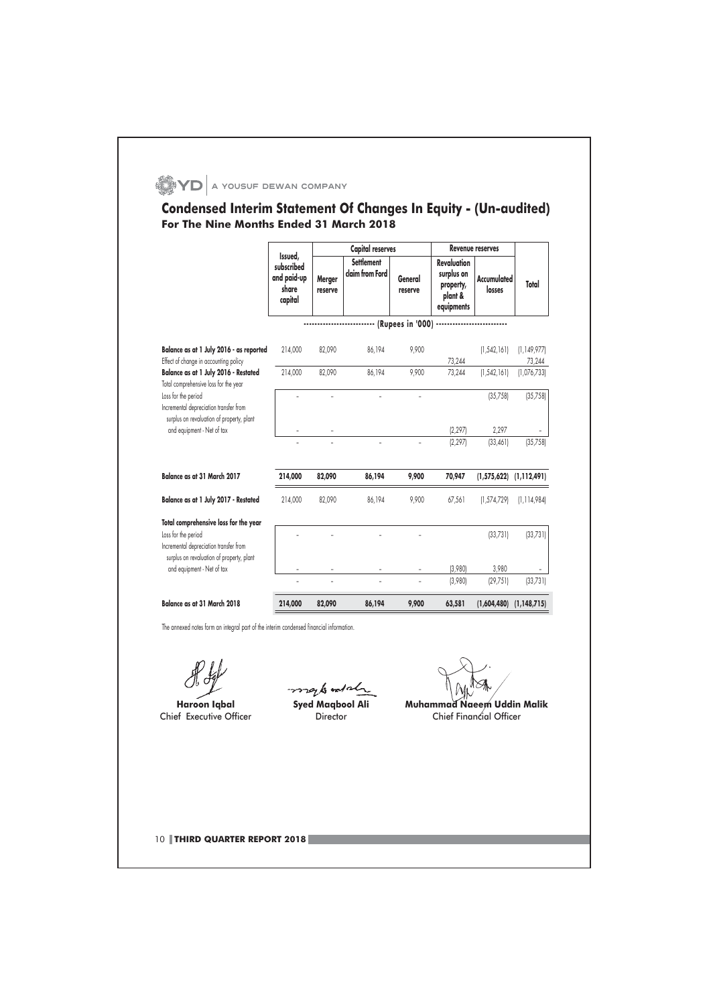# $\bullet$  YD  $\vert$  a yousuf dewan company

# Condensed Interim Statement Of Changes In Equity - (Un-audited) For The Nine Months Ended 31 March 2018

|                                                                                                            |                                                          |                   | <b>Capital reserves</b>              |                    |                                                                        | <b>Revenue reserves</b>      |               |
|------------------------------------------------------------------------------------------------------------|----------------------------------------------------------|-------------------|--------------------------------------|--------------------|------------------------------------------------------------------------|------------------------------|---------------|
|                                                                                                            | Issued,<br>subscribed<br>and paid-up<br>share<br>capital | Merger<br>reserve | <b>Settlement</b><br>claim from Ford | General<br>reserve | <b>Revaluation</b><br>surplus on<br>property,<br>plant &<br>equipments | <b>Accumulated</b><br>losses | Total         |
|                                                                                                            |                                                          |                   |                                      |                    |                                                                        |                              |               |
| Balance as at 1 July 2016 - as reported                                                                    | 214.000                                                  | 82.090            | 86.194                               | 9.900              |                                                                        | (1, 542, 161)                | (1, 149, 977) |
| Effect of change in accounting policy                                                                      |                                                          |                   |                                      |                    | 73,244                                                                 |                              | 73,244        |
| Balance as at 1 July 2016 - Restated<br>Total comprehensive loss for the year                              | 214,000                                                  | 82,090            | 86,194                               | 9.900              | 73,244                                                                 | (1, 542, 161)                | (1,076,733)   |
| Loss for the period<br>Incremental depreciation transfer from<br>surplus on revaluation of property, plant |                                                          |                   |                                      | ä,                 |                                                                        | (35, 758)                    | (35, 758)     |
| and equipment - Net of tax                                                                                 |                                                          |                   |                                      |                    | (2, 297)                                                               | 2,297                        |               |
|                                                                                                            |                                                          |                   |                                      |                    | (2, 297)                                                               | (33, 461)                    | (35, 758)     |
| Balance as at 31 March 2017                                                                                | 214,000                                                  | 82,090            | 86,194                               | 9,900              | 70,947                                                                 | $(1,575,622)$ $(1,112,491)$  |               |
| Balance as at 1 July 2017 - Restated                                                                       | 214.000                                                  | 82,090            | 86,194                               | 9.900              | 67,561                                                                 | (1,574,729)                  | (1, 114, 984) |
| Total comprehensive loss for the year                                                                      |                                                          |                   |                                      |                    |                                                                        |                              |               |
| Loss for the period<br>Incremental depreciation transfer from                                              |                                                          |                   |                                      |                    |                                                                        | (33, 731)                    | (33, 731)     |
| surplus on revaluation of property, plant<br>and equipment - Net of tax                                    |                                                          |                   |                                      |                    | (3,980)                                                                | 3,980                        |               |
|                                                                                                            | u.                                                       |                   | ä,                                   | ä,                 | (3,980)                                                                | [29, 75]                     | (33, 731)     |
| Balance as at 31 March 2018                                                                                | 214,000                                                  | 82,090            | 86,194                               | 9,900              | 63,581                                                                 | (1,604,480)                  | (1,148,715)   |

Haroon Iqbal Chief Executive Officer

mark and al Syed Maqbool Ali Director

Muhammad Naeem Uddin Malik

Chief Financial Officer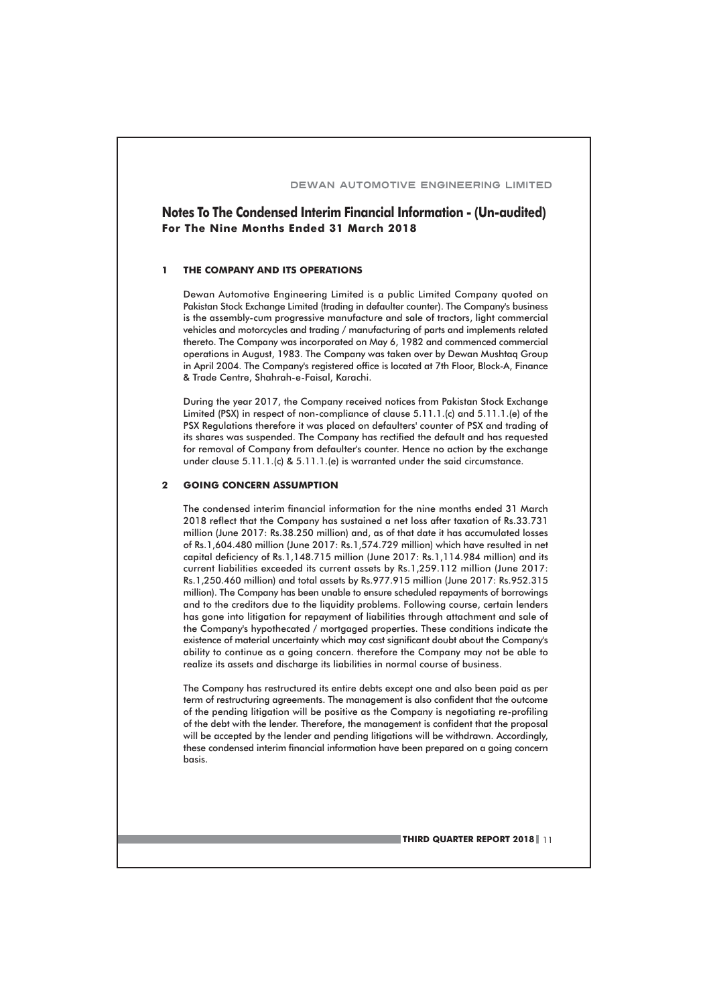# Notes To The Condensed Interim Financial Information - (Un-audited) For The Nine Months Ended 31 March 2018

#### THE COMPANY AND ITS OPERATIONS  $\mathbf{I}$

Dewan Automotive Engineering Limited is a public Limited Company quoted on Pakistan Stock Exchange Limited (trading in defaulter counter). The Company's business is the assembly-cum progressive manufacture and sale of tractors, light commercial vehicles and motorcycles and trading / manufacturing of parts and implements related thereto. The Company was incorporated on May 6, 1982 and commenced commercial operations in August, 1983. The Company was taken over by Dewan Mushtaq Group in April 2004. The Company's registered office is located at 7th Floor, Block-A, Finance & Trade Centre, Shahrah-e-Faisal, Karachi.

During the year 2017, the Company received notices from Pakistan Stock Exchange Limited (PSX) in respect of non-compliance of clause 5.11.1.(c) and 5.11.1.(e) of the PSX Regulations therefore it was placed on defaulters' counter of PSX and trading of its shares was suspended. The Company has rectified the default and has requested for removal of Company from defaulter's counter. Hence no action by the exchange under clause 5.11.1.(c) & 5.11.1.(e) is warranted under the said circumstance.

#### **GOING CONCERN ASSUMPTION**  $\overline{2}$

The condensed interim financial information for the nine months ended 31 March 2018 reflect that the Company has sustained a net loss after taxation of Rs.33.731 million (June 2017: Rs.38.250 million) and, as of that date it has accumulated losses of Rs.1,604.480 million (June 2017: Rs.1,574.729 million) which have resulted in net capital deficiency of Rs.1,148.715 million (June 2017: Rs.1,114.984 million) and its current liabilities exceeded its current assets by Rs.1,259.112 million (June 2017: Rs.1,250.460 million) and total assets by Rs.977.915 million (June 2017: Rs.952.315 million). The Company has been unable to ensure scheduled repayments of borrowings and to the creditors due to the liquidity problems. Following course, certain lenders has gone into litigation for repayment of liabilities through attachment and sale of the Company's hypothecated / mortgaged properties. These conditions indicate the existence of material uncertainty which may cast significant doubt about the Company's ability to continue as a going concern. therefore the Company may not be able to realize its assets and discharge its liabilities in normal course of business.

The Company has restructured its entire debts except one and also been paid as per term of restructuring agreements. The management is also confident that the outcome of the pending litigation will be positive as the Company is negotiating re-profiling of the debt with the lender. Therefore, the management is confident that the proposal will be accepted by the lender and pending litigations will be withdrawn. Accordingly, these condensed interim financial information have been prepared on a going concern basis.

**THIRD QUARTER REPORT 2018** 11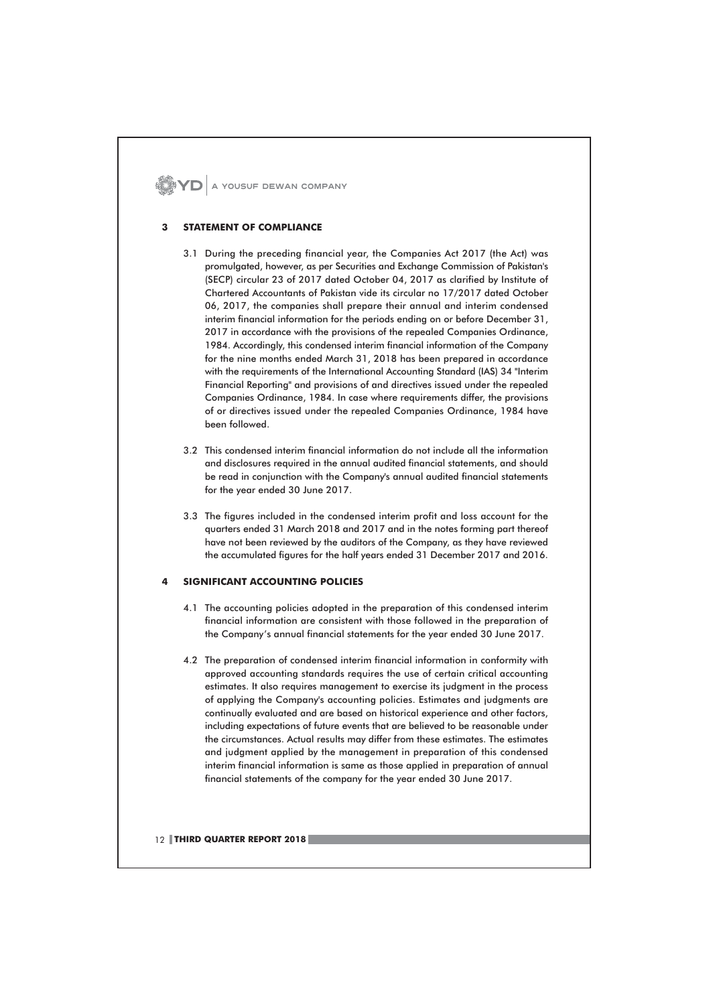$\mathbf{Z}$   $\mathbf{Y}$   $\mathbf{D}$  a yousuf dewan company

## **STATEMENT OF COMPLIANCE**

- 3.1 During the preceding financial year, the Companies Act 2017 (the Act) was promulgated, however, as per Securities and Exchange Commission of Pakistan's (SECP) circular 23 of 2017 dated October 04, 2017 as clarified by Institute of Chartered Accountants of Pakistan vide its circular no 17/2017 dated October 06, 2017, the companies shall prepare their annual and interim condensed interim financial information for the periods ending on or before December 31, 2017 in accordance with the provisions of the repealed Companies Ordinance, 1984. Accordingly, this condensed interim financial information of the Company for the nine months ended March 31, 2018 has been prepared in accordance with the requirements of the International Accounting Standard (IAS) 34 "Interim Financial Reporting" and provisions of and directives issued under the repealed Companies Ordinance, 1984. In case where requirements differ, the provisions of or directives issued under the repealed Companies Ordinance, 1984 have been followed.
- 3.2 This condensed interim financial information do not include all the information and disclosures required in the annual audited financial statements, and should be read in conjunction with the Company's annual audited financial statements for the year ended 30 June 2017.
- 3.3 The figures included in the condensed interim profit and loss account for the quarters ended 31 March 2018 and 2017 and in the notes forming part thereof have not been reviewed by the auditors of the Company, as they have reviewed the accumulated figures for the half years ended 31 December 2017 and 2016.

#### **SIGNIFICANT ACCOUNTING POLICIES**  $\overline{a}$

- 4.1 The accounting policies adopted in the preparation of this condensed interim financial information are consistent with those followed in the preparation of the Company's annual financial statements for the year ended 30 June 2017.
- 4.2 The preparation of condensed interim financial information in conformity with approved accounting standards requires the use of certain critical accounting estimates. It also requires management to exercise its judgment in the process of applying the Company's accounting policies. Estimates and judgments are continually evaluated and are based on historical experience and other factors, including expectations of future events that are believed to be reasonable under the circumstances. Actual results may differ from these estimates. The estimates and judgment applied by the management in preparation of this condensed interim financial information is same as those applied in preparation of annual financial statements of the company for the year ended 30 June 2017.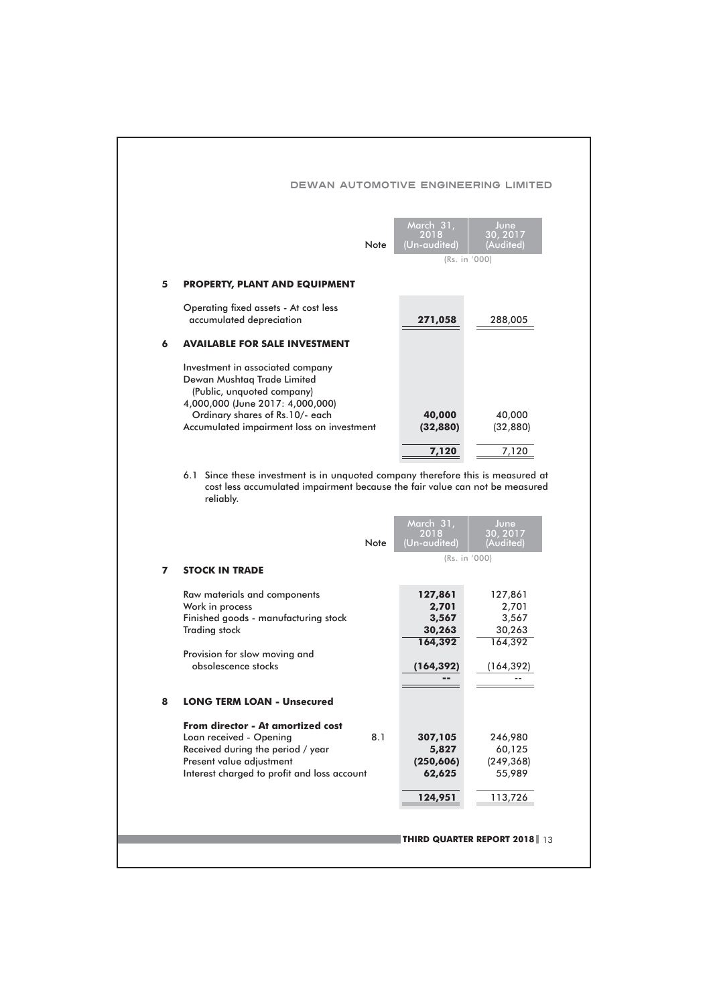|   | Note                                                                                                                              | March 31,<br>2018<br>(Un-audited) | June<br>30, 2017<br>(Audited) |
|---|-----------------------------------------------------------------------------------------------------------------------------------|-----------------------------------|-------------------------------|
|   |                                                                                                                                   |                                   | (Rs. in '000)                 |
| 5 | <b>PROPERTY, PLANT AND EQUIPMENT</b>                                                                                              |                                   |                               |
|   | Operating fixed assets - At cost less<br>accumulated depreciation                                                                 | 271,058                           | 288,005                       |
| 6 | <b>AVAILABLE FOR SALE INVESTMENT</b>                                                                                              |                                   |                               |
|   | Investment in associated company<br>Dewan Mushtaq Trade Limited<br>(Public, unquoted company)<br>4,000,000 (June 2017: 4,000,000) |                                   |                               |
|   | Ordinary shares of Rs.10/- each<br>Accumulated impairment loss on investment                                                      | 40,000<br>(32, 880)               | 40,000<br>(32, 880)           |
|   |                                                                                                                                   |                                   |                               |
|   | 6.1 Since these investment is in unquoted company therefore this is measured at                                                   | 7,120                             | 7,120                         |
|   | cost less accumulated impairment because the fair value can not be measured<br>reliably.<br>Note                                  | March 31,<br>2018<br>(Un-audited) | June<br>30, 2017<br>(Audited) |
|   |                                                                                                                                   |                                   | (Rs. in '000)                 |
| 7 | <b>STOCK IN TRADE</b>                                                                                                             |                                   |                               |
|   | Raw materials and components                                                                                                      | 127,861                           | 127,861                       |
|   | Work in process                                                                                                                   | 2,701                             | 2,701                         |
|   | Finished goods - manufacturing stock                                                                                              | 3,567                             | 3,567                         |
|   | <b>Trading stock</b>                                                                                                              | 30,263                            | 30,263                        |
|   |                                                                                                                                   | 164,392                           | 164,392                       |
|   | Provision for slow moving and<br>obsolescence stocks                                                                              | (164,392)                         | (164, 392)                    |
|   |                                                                                                                                   |                                   |                               |
| 8 | <b>LONG TERM LOAN - Unsecured</b>                                                                                                 |                                   |                               |
|   | <b>From director - At amortized cost</b>                                                                                          |                                   |                               |
|   | Loan received - Opening<br>8.1                                                                                                    | 307,105                           | 246,980                       |
|   | Received during the period / year                                                                                                 | 5,827                             | 60,125                        |
|   | Present value adjustment                                                                                                          | (250, 606)                        | (249, 368)                    |
|   | Interest charged to profit and loss account                                                                                       | 62,625                            | 55,989                        |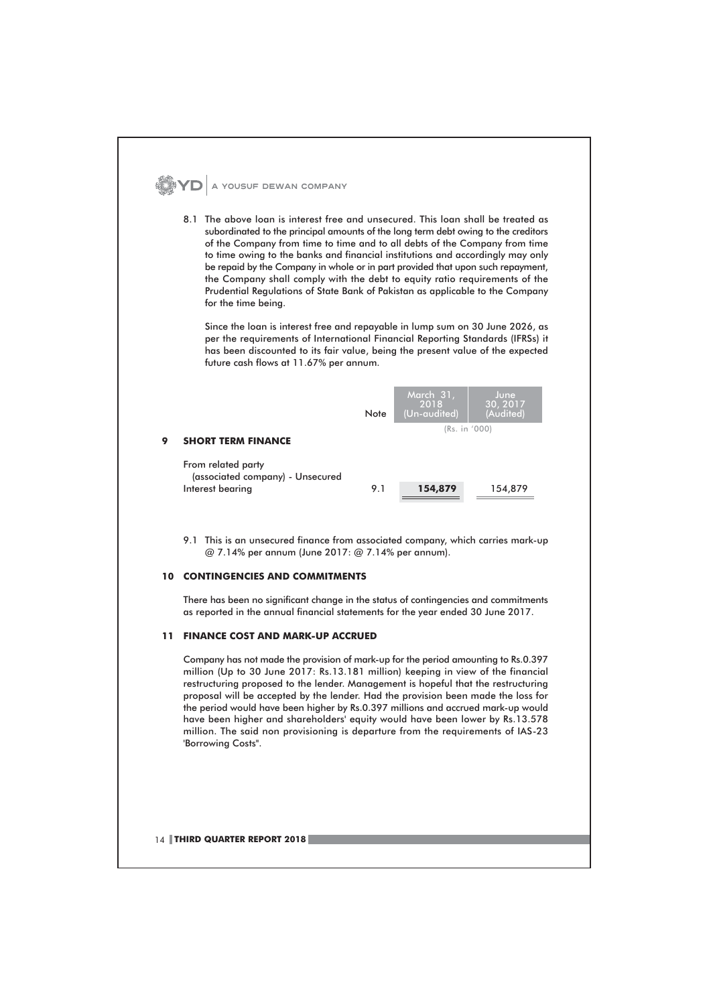

### **10 CONTINGENCIES AND COMMITMENTS**

There has been no significant change in the status of contingencies and commitments as reported in the annual financial statements for the year ended 30 June 2017.

## 11 FINANCE COST AND MARK-UP ACCRUED

Company has not made the provision of mark-up for the period amounting to Rs.0.397 million (Up to 30 June 2017: Rs.13.181 million) keeping in view of the financial restructuring proposed to the lender. Management is hopeful that the restructuring proposal will be accepted by the lender. Had the provision been made the loss for the period would have been higher by Rs.0.397 millions and accrued mark-up would have been higher and shareholders' equity would have been lower by Rs.13.578 million. The said non provisioning is departure from the requirements of IAS-23 'Borrowing Costs".